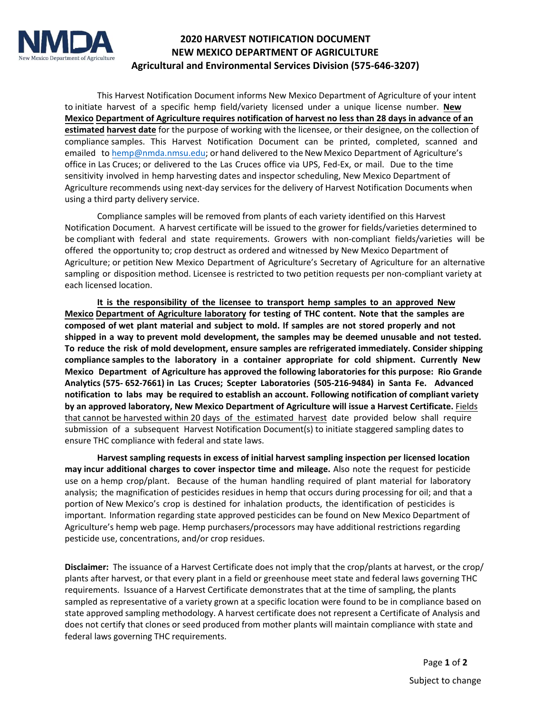

## **2020 HARVEST NOTIFICATION DOCUMENT NEW MEXICO DEPARTMENT OF AGRICULTURE Agricultural and Environmental Services Division (575-646-3207)**

This Harvest Notification Document informs New Mexico Department of Agriculture of your intent to initiate harvest of a specific hemp field/variety licensed under a unique license number. **New Mexico Department of Agriculture requires notification of harvest no less than 28 days in advance of an estimated harvest date** for the purpose of working with the licensee, or their designee, on the collection of compliance samples. This Harvest Notification Document can be printed, completed, scanned and [emailed to hemp@nmd](mailto:hemp@nmda.nmsu.edu)a.nmsu.edu; or hand delivered to the New Mexico Department of Agriculture's office in Las Cruces; or delivered to the Las Cruces office via UPS, Fed-Ex, or mail. Due to the time sensitivity involved in hemp harvesting dates and inspector scheduling, New Mexico Department of Agriculture recommends using next-day services for the delivery of Harvest Notification Documents when using a third party delivery service.

Compliance samples will be removed from plants of each variety identified on this Harvest Notification Document. A harvest certificate will be issued to the grower for fields/varieties determined to be compliant with federal and state requirements. Growers with non-compliant fields/varieties will be offered the opportunity to; crop destruct as ordered and witnessed by New Mexico Department of Agriculture; or petition New Mexico Department of Agriculture's Secretary of Agriculture for an alternative sampling or disposition method. Licensee is restricted to two petition requests per non-compliant variety at each licensed location.

**It is the responsibility of the licensee to transport hemp samples to an approved New Mexico Department of Agriculture laboratory for testing of THC content. Note that the samples are composed of wet plant material and subject to mold. If samples are not stored properly and not shipped in a way to prevent mold development, the samples may be deemed unusable and not tested. To reduce the risk of mold development, ensure samples are refrigerated immediately. Consider shipping compliance samples to the laboratory in a container appropriate for cold shipment. Currently New Mexico Department of Agriculture has approved the following laboratories for this purpose: Rio Grande Analytics (575- 652-7661) in Las Cruces; Scepter Laboratories (505-216-9484) in Santa Fe. Advanced notification to labs may be required to establish an account. Following notification of compliant variety by an approved laboratory, New Mexico Department of Agriculture will issue a Harvest Certificate.** Fields that cannot be harvested within 20 days of the estimated harvest date provided below shall require submission of a subsequent Harvest Notification Document(s) to initiate staggered sampling dates to ensure THC compliance with federal and state laws.

**Harvest sampling requests in excess of initial harvest sampling inspection per licensed location may incur additional charges to cover inspector time and mileage.** Also note the request for pesticide use on a hemp crop/plant. Because of the human handling required of plant material for laboratory analysis; the magnification of pesticides residues in hemp that occurs during processing for oil; and that a portion of New Mexico's crop is destined for inhalation products, the identification of pesticides is important. Information regarding state approved pesticides can be found on New Mexico Department of Agriculture's hemp web page. Hemp purchasers/processors may have additional restrictions regarding pesticide use, concentrations, and/or crop residues.

**Disclaimer:** The issuance of a Harvest Certificate does not imply that the crop/plants at harvest, or the crop/ plants after harvest, or that every plant in a field or greenhouse meet state and federal laws governing THC requirements. Issuance of a Harvest Certificate demonstrates that at the time of sampling, the plants sampled as representative of a variety grown at a specific location were found to be in compliance based on state approved sampling methodology. A harvest certificate does not represent a Certificate of Analysis and does not certify that clones or seed produced from mother plants will maintain compliance with state and federal laws governing THC requirements.